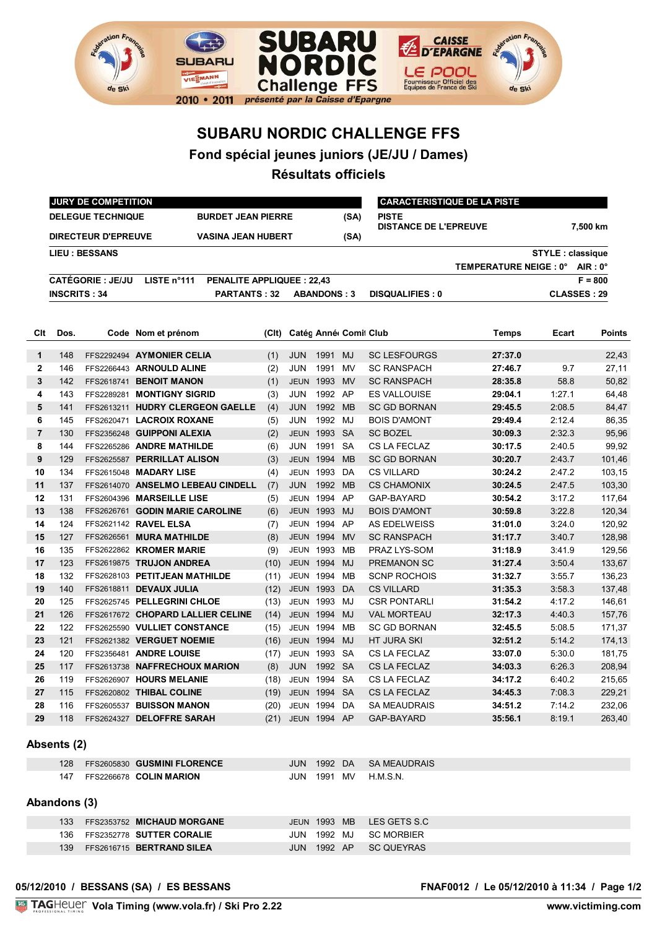

## **SUBARU NORDIC CHALLENGE FFS**

**Fond spécial jeunes juniors (JE/JU / Dames)**

**Résultats officiels**

|                |                                                       | JURY DE COMPETITION        |                                                 |       |                  |                       |           |                                              | <b>CARACTERISTIQUE DE LA PISTE</b> |          |                    |
|----------------|-------------------------------------------------------|----------------------------|-------------------------------------------------|-------|------------------|-----------------------|-----------|----------------------------------------------|------------------------------------|----------|--------------------|
|                | <b>DELEGUE TECHNIQUE</b><br><b>BURDET JEAN PIERRE</b> |                            |                                                 |       | (SA)             |                       |           | <b>PISTE</b><br><b>DISTANCE DE L'EPREUVE</b> |                                    | 7,500 km |                    |
|                |                                                       | <b>DIRECTEUR D'EPREUVE</b> | <b>VASINA JEAN HUBERT</b>                       |       |                  |                       | (SA)      |                                              |                                    |          |                    |
|                |                                                       | <b>LIEU: BESSANS</b>       |                                                 |       |                  |                       |           |                                              | <b>STYLE: classique</b>            |          |                    |
|                |                                                       |                            |                                                 |       |                  |                       |           |                                              | TEMPERATURE NEIGE : 0°             |          | $AIR: 0^{\circ}$   |
|                |                                                       | <b>CATÉGORIE : JE/JU</b>   | LISTE n°111<br><b>PENALITE APPLIQUEE: 22,43</b> |       |                  |                       |           |                                              |                                    |          | $F = 800$          |
|                | <b>INSCRITS: 34</b>                                   |                            | <b>PARTANTS: 32</b>                             |       |                  | <b>ABANDONS: 3</b>    |           | <b>DISQUALIFIES: 0</b>                       |                                    |          | <b>CLASSES: 29</b> |
|                |                                                       |                            |                                                 |       |                  |                       |           |                                              |                                    |          |                    |
|                |                                                       |                            |                                                 |       |                  |                       |           |                                              |                                    |          |                    |
| Clt            | Dos.                                                  |                            | Code Nom et prénom                              | (CIt) |                  | Catég Anné Comil Club |           |                                              | Temps                              | Ecart    | <b>Points</b>      |
| 1              | 148                                                   |                            | FFS2292494 AYMONIER CELIA                       | (1)   | <b>JUN</b>       | 1991 MJ               |           | <b>SC LESFOURGS</b>                          | 27:37.0                            |          | 22,43              |
| $\mathbf 2$    | 146                                                   |                            | FFS2266443 ARNOULD ALINE                        | (2)   | <b>JUN</b>       | 1991                  | <b>MV</b> | <b>SC RANSPACH</b>                           | 27:46.7                            | 9.7      | 27,11              |
| 3              | 142                                                   |                            | FFS2618741 BENOIT MANON                         | (1)   | <b>JEUN</b>      | 1993                  | <b>MV</b> | <b>SC RANSPACH</b>                           | 28:35.8                            | 58.8     | 50,82              |
| 4              | 143                                                   |                            | FFS2289281 MONTIGNY SIGRID                      | (3)   | JUN              | 1992 AP               |           | <b>ES VALLOUISE</b>                          | 29:04.1                            | 1:27.1   | 64,48              |
| 5              | 141                                                   |                            | FFS2613211 HUDRY CLERGEON GAELLE                | (4)   | <b>JUN</b>       | 1992 MB               |           | <b>SC GD BORNAN</b>                          | 29:45.5                            | 2:08.5   | 84,47              |
| 6              | 145                                                   |                            | FFS2620471 LACROIX ROXANE                       | (5)   | JUN              | 1992                  | MJ        | <b>BOIS D'AMONT</b>                          | 29:49.4                            | 2:12.4   | 86,35              |
| $\overline{7}$ | 130                                                   |                            | FFS2356248 GUIPPONI ALEXIA                      | (2)   | <b>JEUN</b>      | 1993 SA               |           | <b>SC BOZEL</b>                              | 30:09.3                            | 2:32.3   | 95,96              |
|                | 144                                                   |                            | FFS2265286 ANDRE MATHILDE                       | (6)   | JUN              | 1991                  | <b>SA</b> | CS LA FECLAZ                                 | 30:17.5                            | 2:40.5   | 99,92              |
| 9              | 129                                                   |                            | FFS2625587 PERRILLAT ALISON                     | (3)   | <b>JEUN</b>      | 1994                  | <b>MB</b> | <b>SC GD BORNAN</b>                          | 30:20.7                            | 2:43.7   | 101,46             |
| 10             | 134                                                   |                            | FFS2615048 MADARY LISE                          | (4)   | <b>JEUN</b>      | 1993                  | DA        | <b>CS VILLARD</b>                            | 30:24.2                            | 2:47.2   | 103,15             |
| 11             | 137                                                   |                            | FFS2614070 ANSELMO LEBEAU CINDELL               | (7)   | <b>JUN</b>       | 1992                  | <b>MB</b> | <b>CS CHAMONIX</b>                           | 30:24.5                            | 2:47.5   | 103,30             |
| 12             | 131                                                   |                            | FFS2604396 MARSEILLE LISE                       | (5)   | <b>JEUN</b>      | 1994 AP               |           | GAP-BAYARD                                   | 30:54.2                            | 3:17.2   | 117,64             |
| 13             | 138                                                   |                            | FFS2626761 GODIN MARIE CAROLINE                 | (6)   | <b>JEUN</b>      | 1993 MJ               |           | <b>BOIS D'AMONT</b>                          | 30:59.8                            | 3:22.8   | 120,34             |
| 14             | 124                                                   |                            | FFS2621142 RAVEL ELSA                           | (7)   | <b>JEUN</b>      | 1994                  | AP        | <b>AS EDELWEISS</b>                          | 31:01.0                            | 3:24.0   | 120,92             |
| 15             | 127                                                   |                            | FFS2626561 MURA MATHILDE                        | (8)   | <b>JEUN</b>      | 1994                  | <b>MV</b> | <b>SC RANSPACH</b>                           | 31:17.7                            | 3:40.7   | 128,98             |
| 16             | 135                                                   |                            | FFS2622862 KROMER MARIE                         | (9)   | JEUN             | 1993                  | MВ        | PRAZ LYS-SOM                                 | 31:18.9                            | 3:41.9   | 129,56             |
| 17             | 123                                                   |                            | FFS2619875 TRUJON ANDREA                        | (10)  | <b>JEUN</b>      | 1994                  | MJ        | PREMANON SC                                  | 31:27.4                            | 3:50.4   | 133,67             |
| 18             | 132                                                   |                            | FFS2628103 PETITJEAN MATHILDE                   | (11)  | JEUN             | 1994                  | <b>MB</b> | <b>SCNP ROCHOIS</b>                          | 31:32.7                            | 3:55.7   | 136,23             |
| 19             | 140                                                   |                            | FFS2618811 DEVAUX JULIA                         | (12)  | <b>JEUN</b>      | 1993                  | DA        | <b>CS VILLARD</b>                            | 31:35.3                            | 3:58.3   | 137,48             |
| 20             | 125                                                   |                            | FFS2625745 PELLEGRINI CHLOE                     | (13)  | <b>JEUN</b>      | 1993                  | MJ        | <b>CSR PONTARLI</b>                          | 31:54.2                            | 4:17.2   | 146,61             |
| 21             | 126                                                   |                            | FFS2617672 CHOPARD LALLIER CELINE               | (14)  | <b>JEUN</b>      | 1994                  | MJ        | <b>VAL MORTEAU</b>                           | 32:17.3                            | 4:40.3   | 157,76             |
| 22             | 122                                                   |                            | FFS2625590 VULLIET CONSTANCE                    | (15)  | <b>JEUN 1994</b> |                       | MВ        | <b>SC GD BORNAN</b>                          | 32:45.5                            | 5:08.5   | 171,37             |
| 23             | 121                                                   |                            | FFS2621382 VERGUET NOEMIE                       | (16)  | <b>JEUN</b>      | 1994                  | MJ        | <b>HT JURA SKI</b>                           | 32:51.2                            | 5:14.2   | 174,13             |
| 24             | 120                                                   |                            | FFS2356481 ANDRE LOUISE                         | (17)  |                  | <b>JEUN 1993 SA</b>   |           | CS LA FECLAZ                                 | 33:07.0                            | 5:30.0   | 181,75             |
| 25             | 117                                                   |                            | FFS2613738 NAFFRECHOUX MARION                   | (8)   | <b>JUN</b>       | 1992                  | <b>SA</b> | CS LA FECLAZ                                 | 34:03.3                            | 6:26.3   | 208,94             |
| 26             | 119                                                   |                            | FFS2626907 HOURS MELANIE                        | (18)  | <b>JEUN</b>      | 1994                  | <b>SA</b> | CS LA FECLAZ                                 | 34:17.2                            | 6:40.2   | 215,65             |
| 27             | 115                                                   |                            | FFS2620802 THIBAL COLINE                        | (19)  | <b>JEUN 1994</b> |                       | <b>SA</b> | <b>CS LA FECLAZ</b>                          | 34:45.3                            | 7:08.3   | 229,21             |
| 28             | 116                                                   |                            | FFS2605537 BUISSON MANON                        | (20)  | <b>JEUN 1994</b> |                       | DA        | <b>SA MEAUDRAIS</b>                          | 34:51.2                            | 7:14.2   | 232,06             |
| 29             | 118                                                   |                            | FFS2624327 DELOFFRE SARAH                       | (21)  | <b>JEUN</b>      | 1994 AP               |           | <b>GAP-BAYARD</b>                            | 35:56.1                            | 8:19.1   | 263,40             |

## **Absents (2)**

|     | 128 FFS2605830 GUSMINI FLORENCE | JUN <sub>6</sub> |  | 1992 DA SA MEAUDRAIS |
|-----|---------------------------------|------------------|--|----------------------|
| 147 | FFS2266678 COLIN MARION         | JUN              |  | 1991 MV H.M.S.N.     |

## **Abandons (3)**

| 133. | FFS2353752 MICHAUD MORGANE    |             |  | JEUN 1993 MB LES GETS S.C. |
|------|-------------------------------|-------------|--|----------------------------|
|      | 136 FFS2352778 SUTTER CORALIE |             |  | JUN 1992 MJ SC MORBIER     |
| 139  | FFS2616715 BERTRAND SILEA     | JUN 1992 AP |  | SC QUEYRAS                 |